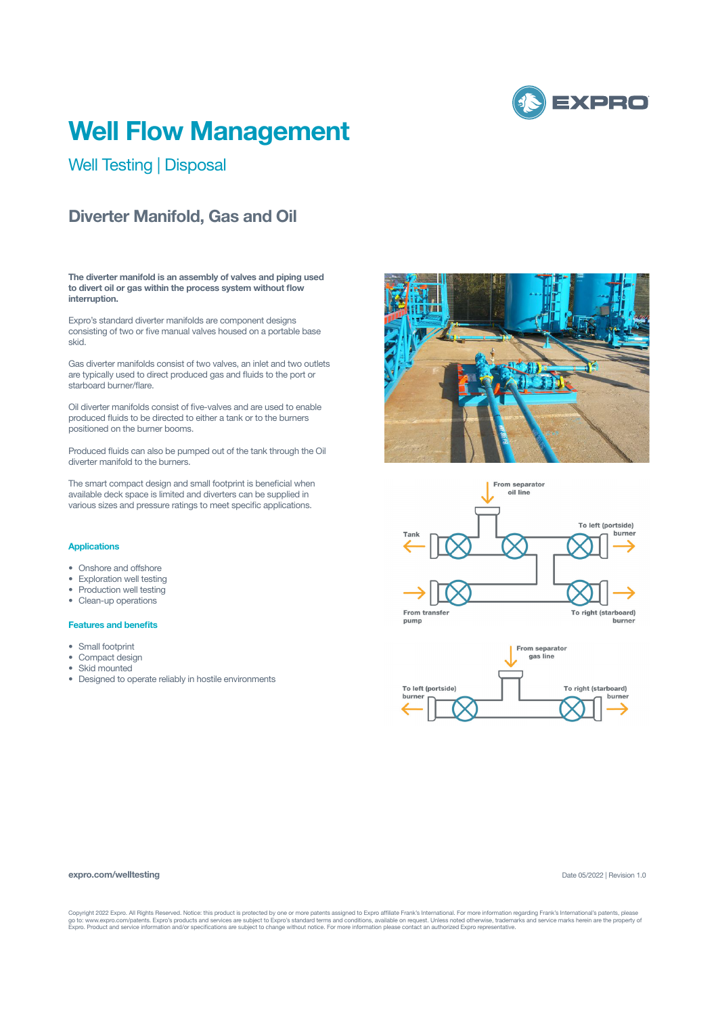

# **Well Flow Management**

Well Testing | Disposal

## **Diverter Manifold, Gas and Oil**

**The diverter manifold is an assembly of valves and piping used to divert oil or gas within the process system without flow interruption.**

Expro's standard diverter manifolds are component designs consisting of two or five manual valves housed on a portable base skid.

Gas diverter manifolds consist of two valves, an inlet and two outlets are typically used to direct produced gas and fluids to the port or starboard burner/flare.

Oil diverter manifolds consist of five-valves and are used to enable produced fluids to be directed to either a tank or to the burners positioned on the burner booms.

Produced fluids can also be pumped out of the tank through the Oil diverter manifold to the burners.

The smart compact design and small footprint is beneficial when available deck space is limited and diverters can be supplied in various sizes and pressure ratings to meet specific applications.

### **Applications**

- Onshore and offshore
- Exploration well testing
- Production well testing
- Clean-up operations

#### **Features and benefits**

- Small footprint
- Compact design
- Skid mounted
- Designed to operate reliably in hostile environments







#### **expro.com/welltesting**

Date 05/2022 | Revision 1.0

Copyright 2022 Expro. All Rights Reserved. Notice: this product is protected by one or more patents assigned to Expro affiliate Frank's International. For more information regarding Frank's International's patents, please<br>